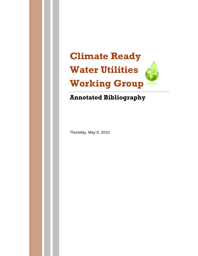

# **Annotated Bibliography**

Thursday, May 6, 2010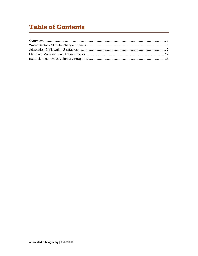## **Table of Contents**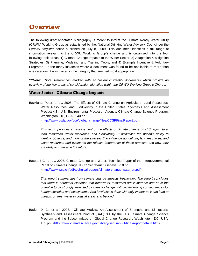### **Overview**

The following draft annotated bibliography is meant to inform the Climate Ready Water Utility (CRWU) Working Group as established by the, National Drinking Water Advisory Council per the *Federal Register* notice published on July 8, 2009. This document identifies a full range of information relevant to the CRWU Working Group's charge and is organized into the four following topic areas: 1) Climate Change Impacts to the Water Sector; 2) Adaptation & Mitigation Strategies; 3) Planning, Modeling, and Training Tools; and 4) Example Incentive & Voluntary Programs. In the many instances where a document was found to be applicable to more than one category, it was placed in the category that seemed most appropriate.

*\*\*\*Note: Note: References marked with an "asterisk" identify documents which provide an overview of the key areas of consideration identified within the CRWU Working Group's Charge.*

#### **Water Sector - Climate Change Impacts**

Backlund, Peter; et al., 2008: The Effects of Climate Change on Agriculture, Land Resources, Water Resources, and Biodiversity in the United States. Synthesis and Assessment Product 4.3., U.S. Environmental Protection Agency, Climate Change Science Program, Washington, DC, USA. 240 pp.

[<http://www.usda.gov/oce/global\\_change/files/CCSPFinalReport.pdf>](http://www.usda.gov/oce/global_change/files/CCSPFinalReport.pdf)

*This report provides an assessment of the effects of climate change on U.S. agriculture, land resources, water resources, and biodiversity. It discusses the nation's ability to identify, observe, and monitor the stresses that influence agriculture, land resources, and water resources and evaluates the relative importance of these stresses and how they are likely to change in the future.* 

Bates, B.C., et al., 2008: Climate Change and Water. Technical Paper of the Intergovernmental Panel on Climate Change, IPCC Secretariat, Geneva, 210 pp. [<http://www.ipcc.ch/pdf/technical-papers/climate-change-water-en.pdf>](http://www.ipcc.ch/pdf/technical-papers/climate-change-water-en.pdf)

*This report summarizes how climate change impacts freshwater. The report concludes that there is abundant evidence that freshwater resources are vulnerable and have the potential to be strongly impacted by climate change, with wide-ranging consequences for human societies and ecosystems. Sea level rise is dealt with only insofar as it can lead to impacts on freshwater in coastal areas and beyond.*

Bader, D. C.; et al., 2008: Climate Models: An Assessment of Strengths and Limitations. Synthesis and Assessment Product (SAP) 3.1 by the U.S. Climate Change Science Program and the Subcommittee on Global Change Research, Washington, DC, USA. 135 pp. [<http://www.climatescience.gov/Library/sap/sap3-1/final-report/default.htm>](http://www.climatescience.gov/Library/sap/sap3-1/final-report/default.htm)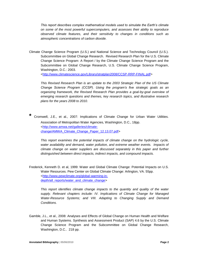*This report describes complex mathematical models used to simulate the Earth's climate on some of the most powerful supercomputers, and assesses their ability to reproduce observed climate features, and their sensitivity to changes in conditions such as atmospheric concentrations of carbon dioxide.*

Climate Change Science Program (U.S.) and National Science and Technology Council (U.S.). Subcommittee on Global Change Research. Revised Research Plan for the U.S. Climate Change Science Program: A Report / by the Climate Change Science Program and the Subcommittee on Global Change Research, U.S. Climate Change Science Program, Washington, D.C.: 2003.

[<http://www.climatescience.gov/Library/stratplan2008/CCSP-RRP-FINAL.pdf>](http://www.climatescience.gov/Library/stratplan2008/CCSP-RRP-FINAL.pdf)

*This Revised Research Plan is an update to the 2003 Strategic Plan of the US Climate Change Science Program (CCSP). Using the program's five strategic goals as an organizing framework, the Revised Research Plan provides a goal-by-goal overview of emerging research questions and themes, key research topics, and illustrative research plans for the years 2008 to 2010.*

**\*** Cromwell, J.E., et al., 2007: Implications of Climate Change for Urban Water Utilities. Association of Metropolitan Water Agencies, Washington, D.C., 18pp. [<http://www.amwa.net/galleries/climate](http://www.amwa.net/galleries/climate-change/AMWA_Climate_Change_Paper_12.13.07.pdf)[change/AMWA\\_Climate\\_Change\\_Paper\\_12.13.07.pdf>](http://www.amwa.net/galleries/climate-change/AMWA_Climate_Change_Paper_12.13.07.pdf)

*This report examines the potential impacts of climate change on the hydrologic cycle, water availability and demand, water pollution, and extreme weather events. Impacts of climate change on water suppliers are discussed separately in this paper and further distinguished between direct impacts, indirect impacts, and compound impacts.*

Frederick, Kenneth D. et al, 1999: Water and Global Climate Change: Potential Impacts on U.S. Water Resources. Pew Center on Global Climate Change: Arlington, VA. 55pp. [<http://www.pewclimate.org/global-warming-in](http://www.pewclimate.org/global-warming-in-depth/all_reports/water_and_climate_change)[depth/all\\_reports/water\\_and\\_climate\\_change>](http://www.pewclimate.org/global-warming-in-depth/all_reports/water_and_climate_change)

*This report identifies climate change impacts to the quantity and quality of the water supply. Relevant chapters include: IV. Implications of Climate Change for Managed Water-Resource Systems; and VIII. Adapting to Changing Supply and Demand Conditions.*

Gamble, J.L., et al., 2008: Analyses and Effects of Global Change on Human Health and Welfare and Human Systems. Synthesis and Assessment Product (SAP) 4.6 by the U.S. Climate Change Science Program and the Subcommittee on Global Change Research, Washington, D.C.. 218 pp.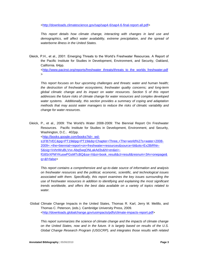[<http://downloads.climatescience.gov/sap/sap4-6/sap4-6-final-report-all.pdf>](http://downloads.climatescience.gov/sap/sap4-6/sap4-6-final-report-all.pdf)

*This report details how climate change, interacting with changes in land use and demographics, will affect water availability, extreme precipitation, and the spread of waterborne illness in the United States.*

Gleick, P.H., et al., 2001: Emerging Threats to the World's Freshwater Resources. A Report of the Pacific Institute for Studies in Development, Environment, and Security, Oakland, California. 64pp. [<http://www.pacinst.org/reports/freshwater\\_threats/threats\\_to\\_the\\_worlds\\_freshwater.pdf](http://www.pacinst.org/reports/freshwater_threats/threats_to_the_worlds_freshwater.pdf)

*This report focuses on four upcoming challenges and threats: water and human health; the destruction of freshwater ecosystems; freshwater quality concerns; and long-term global climatic change and its impact on water resources. Section 5 of this report addresses the future risks of climate change for water resources and complex developed water systems. Additionally, this section provides a summary of coping and adaptation methods that may assist water managers to reduce the risks of climatic variability and change for water resources.*

Gleick, P., et al., 2009: The World's Water 2008-2009: The Biennial Report On Freshwater Resources. Pacific Institute for Studies in Development, Environment, and Security, Washington, D.C.. 402pp. [<http://books.google.com/books?id=\\_wd](http://books.google.com/books?id=_wd-s1FB7VEC&pg=PT19&lpg=PT19&dq=Chapter+Three,+The+world%27s+water+2008-2009+:+the+biennial+report+on+freshwater+resources&source=bl&ots=Ex2BiRNn-S&sig=VvhnWuBLVvx-Abq5wqONLakAd3s&hl=en&ei=-fG8SrXPMYKuswPGsMTcBQ&sa=X&oi=book_result&ct=result&resnum=3%23v=onepage&q=&f=false)[s1FB7VEC&pg=PT19&lpg=PT19&dq=Chapter+Three,+The+world%27s+water+2008-](http://books.google.com/books?id=_wd-s1FB7VEC&pg=PT19&lpg=PT19&dq=Chapter+Three,+The+world%27s+water+2008-2009+:+the+biennial+report+on+freshwater+resources&source=bl&ots=Ex2BiRNn-S&sig=VvhnWuBLVvx-Abq5wqONLakAd3s&hl=en&ei=-fG8SrXPMYKuswPGsMTcBQ&sa=X&oi=book_result&ct=result&resnum=3%23v=onepage&q=&f=false) [2009+:+the+biennial+report+on+freshwater+resources&source=bl&ots=Ex2BiRNn-](http://books.google.com/books?id=_wd-s1FB7VEC&pg=PT19&lpg=PT19&dq=Chapter+Three,+The+world%27s+water+2008-2009+:+the+biennial+report+on+freshwater+resources&source=bl&ots=Ex2BiRNn-S&sig=VvhnWuBLVvx-Abq5wqONLakAd3s&hl=en&ei=-fG8SrXPMYKuswPGsMTcBQ&sa=X&oi=book_result&ct=result&resnum=3%23v=onepage&q=&f=false)[S&sig=VvhnWuBLVvx-Abq5wqONLakAd3s&hl=en&ei=-](http://books.google.com/books?id=_wd-s1FB7VEC&pg=PT19&lpg=PT19&dq=Chapter+Three,+The+world%27s+water+2008-2009+:+the+biennial+report+on+freshwater+resources&source=bl&ots=Ex2BiRNn-S&sig=VvhnWuBLVvx-Abq5wqONLakAd3s&hl=en&ei=-fG8SrXPMYKuswPGsMTcBQ&sa=X&oi=book_result&ct=result&resnum=3%23v=onepage&q=&f=false)

[fG8SrXPMYKuswPGsMTcBQ&sa=X&oi=book\\_result&ct=result&resnum=3#v=onepage&](http://books.google.com/books?id=_wd-s1FB7VEC&pg=PT19&lpg=PT19&dq=Chapter+Three,+The+world%27s+water+2008-2009+:+the+biennial+report+on+freshwater+resources&source=bl&ots=Ex2BiRNn-S&sig=VvhnWuBLVvx-Abq5wqONLakAd3s&hl=en&ei=-fG8SrXPMYKuswPGsMTcBQ&sa=X&oi=book_result&ct=result&resnum=3%23v=onepage&q=&f=false) [q=&f=false>](http://books.google.com/books?id=_wd-s1FB7VEC&pg=PT19&lpg=PT19&dq=Chapter+Three,+The+world%27s+water+2008-2009+:+the+biennial+report+on+freshwater+resources&source=bl&ots=Ex2BiRNn-S&sig=VvhnWuBLVvx-Abq5wqONLakAd3s&hl=en&ei=-fG8SrXPMYKuswPGsMTcBQ&sa=X&oi=book_result&ct=result&resnum=3%23v=onepage&q=&f=false)

*This report contains a comprehensive and up-to-date source of information and analysis on freshwater resources and the political, economic, scientific, and technological issues associated with them. Specifically, this report examines the key issues surrounding the use of freshwater resources in addition to identifying and explaining the most significant trends worldwide, and offers the best data available on a variety of topics related to water.* 

Global Climate Change Impacts in the United States, Thomas R. Karl, Jerry M. Melillo, and Thomas C. Peterson, (eds.). Cambridge University Press, 2009. [<http://downloads.globalchange.gov/usimpacts/pdfs/climate-impacts-report.pdf>](http://downloads.globalchange.gov/usimpacts/pdfs/climate-impacts-report.pdf)

*This report summarizes the science of climate change and the impacts of climate change on the United States, now and in the future. It is largely based on results of the U.S. Global Change Research Program (USGCRP), and integrates those results with related* 

>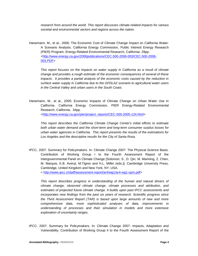*research from around the world. This report discusses climate-related impacts for various societal and environmental sectors and regions across the nation.*

Hanemann, M., et al., 2006: The Economic Cost of Climate Change Impact on California Water: A Scenario Analysis. California Energy Commission, Public Interest Energy Research (PIER) Program, Energy-Related Environmental Research, California. 29pp. [<http://www.energy.ca.gov/2006publications/CEC-500-2006-003/CEC-500-2006-](http://www.energy.ca.gov/2006publications/CEC-500-2006-003/CEC-500-2006-003.PDF) [003.PDF>](http://www.energy.ca.gov/2006publications/CEC-500-2006-003/CEC-500-2006-003.PDF)

*This report focuses on the impacts on water supply in California as a result of climate change and provides a rough estimate of the economic consequences of several of these impacts.* It provides a partial analysis of the economic costs caused by the reduction in *surface water supply in California due to the GFDLA2 scenario to agricultural water users in the Central Valley and urban users in the South Coast.*

Hanemann, M., et al., 2005: Economic Impacts of Climate Change on Urban Water Use in California. California Energy Commission, PIER Energy-Related Environmental Research, California. 34pp.

[<http://www.energy.ca.gov/pier/project\\_reports/CEC-500-2005-124.html>](http://www.energy.ca.gov/pier/project_reports/CEC-500-2005-124.html)

*This report describes the California Climate Change Center's initial efforts to estimate both urban water demand and the short-term and long-term consumer surplus losses for urban water agencies in California. This report presents the results of the estimations for Los Angeles and the descriptive results for the City of Santa Rosa.*

IPCC, 2007: Summary for Policymakers. In: Climate Change 2007: The Physical Science Basis. Contribution of Working Group I to the Fourth Assessment Report of the Intergovernmental Panel on Climate Change [Solomon, S., D. Qin, M. Manning, Z. Chen, M. Marquis, K.B. Averyt, M.Tignor and H.L. Miller (eds.)]. Cambridge University Press, Cambridge, United Kingdom and New York, NY, USA.

< [http://www.ipcc.ch/pdf/assessment-report/ar4/wg1/ar4-wg1-spm.pdf>](http://www.ipcc.ch/pdf/assessment-report/ar4/wg1/ar4-wg1-spm.pdf)

*This report describes progress in understanding of the human and natural drivers of climate change, observed climate change, climate processes and attribution, and estimates of projected future climate change. It builds upon past IPCC assessments and incorporates new findings from the past six years of research. Scientific progress since the Third Assessment Report (TAR) is based upon large amounts of new and more comprehensive data, more sophisticated analyses of data, improvements in understanding of processes and their simulation in models and more extensive exploration of uncertainty ranges.*

IPCC, 2007: Summary for Policymakers. In: Climate Change 2007: Impacts, Adaptation and Vulnerability. Contribution of Working Group II to the Fourth Assessment Report of the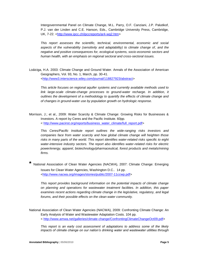Intergovernmental Panel on Climate Change, M.L. Parry, O.F. Canziani, J.P. Palutikof, P.J. van der Linden and C.E. Hanson, Eds., Cambridge University Press, Cambridge, UK, 7-22. [<http://www.ipcc.ch/ipccreports/ar4-wg2.htm>](http://www.ipcc.ch/ipccreports/ar4-wg2.htm)

*This report assesses the scientific, technical, environmental, economic and social aspects of the vulnerability (sensitivity and adaptability) to climate change of, and the negative and positive consequences for, ecological systems, socio-economic sectors and human health, with an emphasis on regional sectoral and cross-sectoral issues.* 

Loáiciga, H.A. 2003: Climate Change and Ground Water. Annals of the Association of American Geographers, Vol. 93, No. 1, March, pp. 30-41. [<http://www3.interscience.wiley.com/journal/118827923/abstract>](http://www3.interscience.wiley.com/journal/118827923/abstract)

*This article focuses on regional aquifer systems and currently available methods used to*  link large-scale climate-change processes to ground-water recharge. In addition, it *outlines the development of a methodology to quantify the effects of climate change and of changes in ground-water use by population growth on hydrologic response.*

Morrison, J.; et al., 2009: [Water Scarcity & Climate Change: Growing Risks for Businesses &](http://client-ross.com/crwuwg/Water%20Sector%20-%20Climate%20Change%20Impacts/Water%20Scarcity%20and%20Climate%20Change%20-%20Growing%20Risks%20for%20Businesses%20and%20Investors.pdf/full_report.pdf)  [Investors.](http://client-ross.com/crwuwg/Water%20Sector%20-%20Climate%20Change%20Impacts/Water%20Scarcity%20and%20Climate%20Change%20-%20Growing%20Risks%20for%20Businesses%20and%20Investors.pdf/full_report.pdf) A report by Ceres and the Pacific Institute. 60pp. < [http://www.pacinst.org/reports/business\\_water\\_climate/full\\_report.pdf>](http://www.pacinst.org/reports/business_water_climate/full_report.pdf)

*This Ceres/Pacific Institute report outlines the wide-ranging risks investors and companies face from water scarcity and how global climate change will heighten those risks in many parts of the world. This report identifies water-related risks specific to eight water-intensive industry sectors. The report also identifies water-related risks for electric power/energy, apparel, biotechnology/pharmaceutical, forest products and metals/mining firms.* 

**\*** National Association of Clean Water Agencies (NACWA), 2007: Climate Change: Emerging Issues for Clean Water Agencies, Washington D.C.. 14 pp. [<http://www.nacwa.org/images/stories/public/2007-11ccwp.pdf>](http://www.nacwa.org/images/stories/public/2007-11ccwp.pdf)

*This report provides background information on the potential impacts of climate change on planning and operations for wastewater treatment facilities. In addition, this paper examines recent actions regarding climate change in the legislative, regulatory, and legal forums, and their possible effects on the clean water community.*

National Association of Clean Water Agencies (NACWA), 2009: [Confronting Climate Change: An](http://client-ross.com/crwuwg/Water%20Sector%20-%20Climate%20Change%20Impacts/Confronting%20Climate%20Change%20An%20Early%20Analysis%20of%20Water%20and%20Wastewater%20Adaptation%20Costs.pdf/ConfrontingClimateChangeOct09.pdf)  [Early Analysis of Water and Wastewater Adaptation Costs.](http://client-ross.com/crwuwg/Water%20Sector%20-%20Climate%20Change%20Impacts/Confronting%20Climate%20Change%20An%20Early%20Analysis%20of%20Water%20and%20Wastewater%20Adaptation%20Costs.pdf/ConfrontingClimateChangeOct09.pdf) 104 pp. < [http://www.amwa.net/galleries/climate-change/ConfrontingClimateChangeOct09.pdf>](http://www.amwa.net/galleries/climate-change/ConfrontingClimateChangeOct09.pdf)

*This report is an early cost assessment of adaptations to address some of the likely impacts of climate change on our nation's drinking water and wastewater utilities through*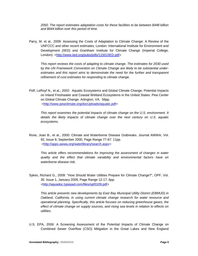*2050. The report estimates adaptation costs for these facilities to be between \$448 billion and \$944 billion over this period of time.* 

Parry, M. et al., 2009: Assessing the Costs of Adaptation to Climate Change: A Review of the UNFCCC and other recent estimates, London: International Institute for Environment and Development (IIED) and Grantham Institute for Climate Change (Imperial College, London). [<http://www.iied.org/pubs/pdfs/11501IIED.pdf>](http://www.iied.org/pubs/pdfs/11501IIED.pdf)

*This report reviews the costs of adapting to climate change. The estimates for 2030 used by the UN Framework Convention on Climate Change are likely to be substantial underestimates and this report aims to demonstrate the need for the further and transparent refinement of cost estimates for responding to climate change.*

Poff, LeRoyf N., et al., 2002: Aquatic Ecosystems and Global Climate Change: Potential Impacts on Inland Freshwater and Coastal Wetland Ecosystems in the United States. Pew Center on Global Climate Change: Arlington, VA. 56pp. [<http://www.pewclimate.org/docUploads/aquatic.pdf>](http://www.pewclimate.org/docUploads/aquatic.pdf)

*This report examines the potential impacts of climate change on the U.S. environment. It details the likely impacts of climate change over the next century on U.S. aquatic ecosystems.*

Rose, Joan B., et al., 2000: Climate and Waterborne Disease Outbreaks. Journal AWWA, Vol. 92, Issue 9, September 2000, Page Range 77-87. 11pp. [<http://apps.awwa.org/waterlibrary/search.aspx>](http://apps.awwa.org/waterlibrary/search.aspx)

*This article offers recommendations for improving the assessment of changes in water quality and the effect that climate variability and environmental factors have on waterborne disease risk.*

Sykes, Richard G., 2009: "How Should Water Utilities Prepare for Climate Change?", OPF, Vol. 35 Issue 1, January 2009, Page Range 12-17. 6pp. [<http://aquadoc.typepad.com/files/opf0109.pdf>](http://aquadoc.typepad.com/files/opf0109.pdf)

*This article presents new developments by East Bay Municipal Utility District (EBMUD) in Oakland, California, in using current climate change research for water resource and operational planning. Specifically, this article focuses on reducing greenhouse gases, the effect of climate change on supply sources, and rising sea levels in relation to effects on utilities.* 

U.S. EPA, 2006: A Screening Assessment of the Potential Impacts of Climate Change on Combined Sewer Overflow (CSO) Mitigation in the Great Lakes and New England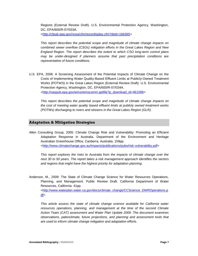Regions (External Review Draft). U.S. Environmental Protection Agency, Washington, DC, EPA/600/R-07/033A.

[<http://cfpub.epa.gov/ncea/cfm/recordisplay.cfm?deid=166365>](http://cfpub.epa.gov/ncea/cfm/recordisplay.cfm?deid=166365)

*This report describes the potential scope and magnitude of climate change impacts on combined sewer overflow (CSOs) mitigation efforts in the Great Lakes Region and New England Region. The report describes the extent to which CSO long-term control plans may be under-designed if planners assume that past precipitation conditions are representative of future conditions.*

U.S. EPA, 2006: A Screening Assessment of the Potential Impacts of Climate Change on the Costs of Implementing Water Quality-Based Effluent Limits at Publicly-Owned Treatment Works (POTWS) in the Great Lakes Region (External Review Draft). U.S. Environmental Protection Agency, Washington, DC, EPA/600/R-07/034A. [<http://oaspub.epa.gov/eims/eimscomm.getfile?p\\_download\\_id=461098>](http://oaspub.epa.gov/eims/eimscomm.getfile?p_download_id=461098)

*This report describes the potential scope and magnitude of climate change impacts on the cost of meeting water quality based effluent limits at publicly owned treatment works (POTWs) discharging to rivers and streams in the Great Lakes Region (GLR).*

### **Adaptation & Mitigation Strategies**

Allen Consulting Group, 2005: Climate Change Risk and Vulnerability: Promoting an Efficient Adaptation Response in Australia. Department of the Environment and Heritage Australian Greenhouse Office, Canberra, Australia. 159pp. [<http://www.climatechange.gov.au/impacts/publications/pubs/risk-vulnerability.pdf>](http://www.climatechange.gov.au/impacts/publications/pubs/risk-vulnerability.pdf)

*This report explores the risks to Australia from the impacts of climate change over the next 30 to 50 years. The report takes a risk management approach identifies the sectors and regions that might have the highest priority for adaptation planning.* 

Anderson, M., 2009: The State of Climate Change Science for Water Resources Operations, Planning, and Management. Public Review Draft. California Department of Water Resources, California. 41pp. [<http://www.waterplan.water.ca.gov/docs/climate\\_change/CCScience\\_DWROperations.p](http://www.waterplan.water.ca.gov/docs/climate_change/CCScience_DWROperations.pdf) [df>](http://www.waterplan.water.ca.gov/docs/climate_change/CCScience_DWROperations.pdf)

*This article assess the state of climate change science available for California water resources operations, planning, and management at the time of the second Climate Action Team (CAT) assessment and Water Plan Update 2009. The document examines observations, paleoclimate, future projections, and planning and assessment tools that are used to inform climate change mitigation and adaptation efforts.*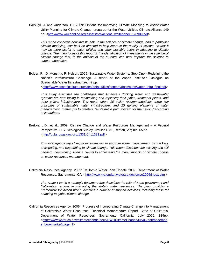Barsugli, J. and Anderson, C.; 2009: [Options for Improving Climate Modeling to Assist Water](http://client-ross.com/crwuwg/Adaptation%20and%20Mitigation%20Strategies/Options%20for%20Improving%20Climate%20Modeling%20to%20Assist%20Water%20Utility%20Planning%20for%20Climate%20Change/actions_whitepaper_120909.pdf)  [Utility Planning for Climate Change,](http://client-ross.com/crwuwg/Adaptation%20and%20Mitigation%20Strategies/Options%20for%20Improving%20Climate%20Modeling%20to%20Assist%20Water%20Utility%20Planning%20for%20Climate%20Change/actions_whitepaper_120909.pdf) prepared for the Water Utilities Climate Alliance.149 pp. [<http://www.wucaonline.org/assets/pdf/actions\\_whitepaper\\_120909.pdf>](http://www.wucaonline.org/assets/pdf/actions_whitepaper_120909.pdf)

*This report concerns how investments in the science of climate change, and in particular climate modeling, can best be directed to help improve the quality of science so that it may be more useful to water utilities and other possible users in adapting to climate change. The main focus of this report is the identification of investments in the science of climate change that, in the opinion of the authors, can best improve the science to support adaptation.* 

Bolger, R., D. Monsma, R. Nelson, 2009: [Sustainable Water Systems: Step One -](http://client-ross.com/crwuwg/Adaptation%20and%20Mitigation%20Strategies/Sustainable%20Water%20Systems%20-%20Step%20One%20-%20Redefining%20the%20Nations%20Infrastructure%20Challenge.pdf/water_infra_final.pdf) Redefining the [Nation's Infrastructure Challenge.](http://client-ross.com/crwuwg/Adaptation%20and%20Mitigation%20Strategies/Sustainable%20Water%20Systems%20-%20Step%20One%20-%20Redefining%20the%20Nations%20Infrastructure%20Challenge.pdf/water_infra_final.pdf) A report of the Aspen Institute's Dialogue on Sustainable Water Infrastructure. 42 pp.

[<http://www.aspeninstitute.org/sites/default/files/content/docs/pubs/water\\_infra\\_final.pdf>](http://www.aspeninstitute.org/sites/default/files/content/docs/pubs/water_infra_final.pdf)

*This study examines the challenges that America's drinking water and wastewater systems are now facing in maintaining and replacing their pipes, treatment plants, and other critical infrastructure. The report offers 10 policy recommendations, three key principles of sustainable water infrastructure, and 20 guiding elements of water management. It attempts to create a "sustainable path forward for the nation," according to its authors.* 

Brekke, L.D., et al., 2009: Climate Change and Water Resources Management – A Federal Perspective. U.S. Geological Survey Circular 1331, Reston, Virginia. 65 pp. [<http://pubs.usgs.gov/circ/1331/Circ1331.pdf>](http://pubs.usgs.gov/circ/1331/Circ1331.pdf)

*This interagency report explores strategies to improve water management by tracking, anticipating, and responding to climate change. This report describes the existing and still needed underpinning science crucial to addressing the many impacts of climate change on water resources management.*

California Resources Agency, 2009: [California Water Plan Update 2009.](http://www.waterplan.water.ca.gov/cwpu2009/index.cfm) Department of Water Resources, Sacramento, CA. [<http://www.waterplan.water.ca.gov/cwpu2009/index.cfm>](http://www.waterplan.water.ca.gov/cwpu2009/index.cfm)

*The Water Plan is a strategic document that describes the role of State government and California's regions in managing the state's water resources. The plan provides a Framework for Action which identifies a number of support activities, including those for adapting to global climate change.* 

California Resources Agency, 2006: Progress of Incorporating Climate Change into Management of California's Water Resources, Technical Memorandum Report. State of California, Department of Water Resources, Sacramento California, July 2006. 339pp. [<http://www.water.ca.gov/climatechange/docs/DWRClimateChangeJuly06.pdf#pagemod](http://www.water.ca.gov/climatechange/docs/DWRClimateChangeJuly06.pdf%23pagemode=bookmarks&page=1) [e=bookmarks&page=1>](http://www.water.ca.gov/climatechange/docs/DWRClimateChangeJuly06.pdf%23pagemode=bookmarks&page=1)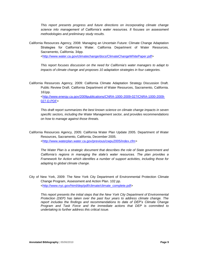*This report presents progress and future directions on incorporating climate change science into management of California's water resources. It focuses on assessment methodologies and preliminary study results.*

California Resources Agency, 2008: Managing an Uncertain Future: Climate Change Adaptation Strategies for California's Water. California Department of Water Resources*,*  Sacramento, California. 34pp.

[<http://www.water.ca.gov/climatechange/docs/ClimateChangeWhitePaper.pdf>](http://www.water.ca.gov/climatechange/docs/ClimateChangeWhitePaper.pdf)

*This report focuses discussion on the need for California's water managers to adapt to impacts of climate change and proposes 10 adaptation strategies in four categories.*

California Resources Agency, 2009: California Climate Adaptation Strategy Discussion Draft. Public Review Draft. California Department of Water Resources, Sacramento, California. 161pp.

[<http://www.energy.ca.gov/2009publications/CNRA-1000-2009-027/CNRA-1000-2009-](http://www.energy.ca.gov/2009publications/CNRA-1000-2009-027/CNRA-1000-2009-027-D.PDF) [027-D.PDF>](http://www.energy.ca.gov/2009publications/CNRA-1000-2009-027/CNRA-1000-2009-027-D.PDF)

*This draft report summarizes the best known science on climate change impacts in seven specific sectors, including the Water Management sector, and provides recommendations on how to manage against those threats.* 

California Resources Agency, 2005: California Water Plan Update 2005. Department of Water Resources, Sacramento, California, December 2005. [<http://www.waterplan.water.ca.gov/previous/cwpu2005/index.cfm>](http://www.waterplan.water.ca.gov/previous/cwpu2005/index.cfm)

*The Water Plan is a strategic document that describes the role of State government and California's regions in managing the state's water resources. The plan provides a Framework for Action which identifies a number of support activities, including those for adapting to global climate change.* 

City of New York, 2009: [The New York City Department of Environmental Protection](http://client-ross.com/crwuwg/Adaptation%20and%20Mitigation%20Strategies/The%20New%20York%20City%20Department%20of%20Environmental%20Protection%20Climate%20Change%20Program%20Assessment%20and%20Action%20Plan.pdf/climate_complete.pdf) Climate [Change Program, Assessment and Action Plan.](http://client-ross.com/crwuwg/Adaptation%20and%20Mitigation%20Strategies/The%20New%20York%20City%20Department%20of%20Environmental%20Protection%20Climate%20Change%20Program%20Assessment%20and%20Action%20Plan.pdf/climate_complete.pdf) 102 pp. [<http://www.nyc.gov/html/dep/pdf/climate/climate\\_complete.pdf>](http://www.nyc.gov/html/dep/pdf/climate/climate_complete.pdf)

*This report presents the initial steps that the New York City Department of Environmental Protection (DEP) has taken over the past four years to address climate change. The report includes the findings and recommendations to date of DEP's Climate Change Program and Task Force and the immediate actions that DEP is committed to undertaking to further address this critical issue.*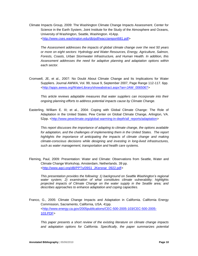Climate Impacts Group, 2009: The Washington Climate Change Impacts Assessment. Center for Science in the Earth System, Joint Institute for the Study of the Atmosphere and Oceans, University of Washington, Seattle, Washington. 414pp. [<http://www.cses.washington.edu/db/pdf/wacciareport681.pdf>](http://www.cses.washington.edu/db/pdf/wacciareport681.pdf)

*The Assessment addresses the impacts of global climate change over the next 50 years or more on eight sectors: Hydrology and Water Resources, Energy, Agriculture, Salmon, Forests, Coasts, Urban Stormwater Infrastructure, and Human Health. In addition, this Assessment addresses the need for adaptive planning and adaptation options within each sector.*

Cromwell, JE, et al., 2007: No Doubt About Climate Change and Its Implications for Water Suppliers. Journal AWWA, Vol. 99, Issue 9, September 2007, Page Range 112-117. 6pp. [<http://apps.awwa.org/WaterLibrary/showabstract.aspx?an=JAW\\_0065067>](http://apps.awwa.org/WaterLibrary/showabstract.aspx?an=JAW_0065067)

*This article reviews adaptable measures that water suppliers can incorporate into their ongoing planning efforts to address potential impacts cause by Climate Change.*

Easterling, William E. III; et al., 2004: Coping with Global Climate Change: The Role of Adaptation in the United States. Pew Center on Global Climate Change, Arlington, VA. 52pp. [<http://www.pewclimate.org/global-warming-in-depth/all\\_reports/adaptation>](http://www.pewclimate.org/global-warming-in-depth/all_reports/adaptation)

*This report discusses the importance of adapting to climate change, the options available for adaptation, and the challenges of implementing them in the United States. The report highlights the importance of anticipating the impacts of climate change and making climate-conscious decisions while designing and investing in long-lived infrastructures, such as water management, transportation and health care systems.*

Fleming, Paul, 2009: [Presentation: Water and Climate: Observations from Seattle, Water and](http://client-ross.com/crwuwg/Adaptation%20and%20Mitigation%20Strategies/Water%20and%20Climate%20-%20Observations%20from%20Seattle/09S1_JKersnar_0922.pdf)  [Climate Change Workshop, Amsterdam, Netherlands.](http://client-ross.com/crwuwg/Adaptation%20and%20Mitigation%20Strategies/Water%20and%20Climate%20-%20Observations%20from%20Seattle/09S1_JKersnar_0922.pdf) 39 pp. [<http://www.agci.org/dB/PPTs/09S1\\_JKersnar\\_0922.pdf>](http://www.agci.org/dB/PPTs/09S1_JKersnar_0922.pdf)

*This presentation provides the following: 1) background on Seattle Washington's regional water system; 2) examination of what constitutes climate vulnerability; highlights projected impacts of Climate Change on the water supply in the Seattle area; and describes approaches to enhance adaptation and coping capacities.* 

Franco, G., 2005: Climate Change Impacts and Adaptation in California. California Energy Commission, Sacramento, California, USA. 41pp. [<http://www.energy.ca.gov/2005publications/CEC-500-2005-103/CEC-500-2005-](http://www.energy.ca.gov/2005publications/CEC-500-2005-103/CEC-500-2005-103.PDF) [103.PDF>](http://www.energy.ca.gov/2005publications/CEC-500-2005-103/CEC-500-2005-103.PDF)

*This paper presents a short review of the existing literature on climate change impacts and adaptation options for California. Specifically, the paper summarizes potential*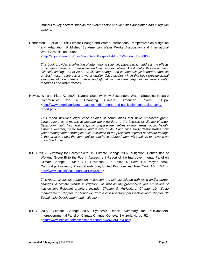*impacts to key sectors such as the Water sector and identifies adaptation and mitigation options.*

Henderson, J.; et al., 2009: [Climate Change and Water: International Perspectives on Mitigation](http://apps.awwa.org/ebusmain/OnlineStore/ProductDetail/tabid/55/Default.aspx?ProductID=6683)  [and Adaptation.](http://apps.awwa.org/ebusmain/OnlineStore/ProductDetail/tabid/55/Default.aspx?ProductID=6683) Published By American Water Works Association and International Water Association. 309pp.

[<http://apps.awwa.org/EbusMain/Default.aspx?TabId=55&ProductID=6683>](http://apps.awwa.org/EbusMain/Default.aspx?TabId=55&ProductID=6683)

*This book provides a collection of international scientific papers which address the effects of climate change on urban water and wastewater utilities. Additionally, this book offers scientific findings (as of 2009) on climate change and its increasingly important impacts on fresh water resources and water quality. Case studies within this book provide actual*  examples of how climate change and global warming are beginning to impact water *resources and water utilities.* 

Hewes, W. and Pitts, K., 2009: [Natural Security: How Sustainable Water Strategies Prepare](http://client-ross.com/crwuwg/Adaptation%20and%20Mitigation%20Strategies/Natural%20Security%20-%20How%20Sustainable%20Water%20Strategies%20Prepare%20Communities%20for%20a%20Changing%20Climate/natural-security-report.pdf)  [Communities for a Changing Climate.](http://client-ross.com/crwuwg/Adaptation%20and%20Mitigation%20Strategies/Natural%20Security%20-%20How%20Sustainable%20Water%20Strategies%20Prepare%20Communities%20for%20a%20Changing%20Climate/natural-security-report.pdf) American Rivers. 112pp. [<http://www.americanrivers.org/assets/pdfs/reports-and-publications/natural-security](http://www.americanrivers.org/assets/pdfs/reports-and-publications/natural-security-report.pdf)[report.pdf>](http://www.americanrivers.org/assets/pdfs/reports-and-publications/natural-security-report.pdf)

*This report provides eight case studies of communities that have embraced green infrastructure as a means to become more resilient to the impacts of climate change. Each community has taken steps to prepare themselves in four areas: public health, extreme weather, water supply, and quality of life. Each case study demonstrates how water management strategies build resilience to the projected impacts of climate change in that area and how the communities that have adopted them will continue to thrive in an uncertain future.* 

IPCC, 2007: Summary for Policymakers. In: Climate Change 2007: Mitigation. Contribution of Working Group III to the Fourth Assessment Report of the Intergovernmental Panel on Climate Change [B. Metz, O.R. Davidson, P.R. Bosch, R. Dave, L.A. Meyer (eds)], Cambridge University Press, Cambridge, United Kingdom and New York, NY, USA. < [http://www.ipcc.ch/ipccreports/ar4-wg3.htm>](http://www.ipcc.ch/ipccreports/ar4-wg3.htm)

*This report discusses adaptation, mitigation, the risk associated with rapid and/or abrupt changes in climate, trends in irrigation, as well as the greenhouse gas emissions of wastewater. Relevant chapters include: Chapter 8: Agriculture; Chapter 10: Waste management; Chapter 11: Mitigation from a cross-sectoral perspective; and Chapter 12: Sustainable Development and mitigation.*

IPCC, 2007: Climate Change 2007 Synthesis Report Summary for Policymakers. Intergovernmental Panel on Climate Change, Geneva, Switzerland. pp. 52. [<http://www.ipcc.ch/pdf/assessment-report/ar4/syr/ar4\\_syr.pdf>](http://www.ipcc.ch/pdf/assessment-report/ar4/syr/ar4_syr.pdf)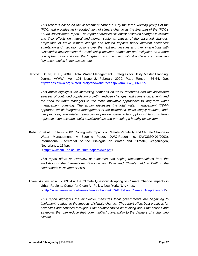*This report is based on the assessment carried out by the three working groups of the IPCC, and provides an integrated view of climate change as the final part of the IPCC's Fourth Assessment Report. The report addresses six topics: observed changes in climate and their effects on natural and human systems; causes of the observed changes; projections of future climate change and related impacts under different scenarios; adaptation and mitigation options over the next few decades and their interactions with sustainable development; the relationship between adaptation and mitigation on a more conceptual basis and over the long-term; and the major robust findings and remaining key uncertainties in the assessment.*

Jeffcoat, Stuart; et al., 2009: Total Water Management Strategies for Utility Master Planning. Journal AWWA, Vol. 101 Issue 2, February 2009, Page Range 56-64. 9pp. [http://apps.awwa.org/WaterLibrary/showabstract.aspx?an=JAW\\_0069595](http://apps.awwa.org/WaterLibrary/showabstract.aspx?an=JAW_0069595)

*This article highlights the increasing demands on water resources and the associated stresses of continued population growth, land-use changes, and climate uncertainty and the need for water managers to use more innovative approaches to long-term water management planning. The author discusses the total water management (TWM) approach, which integrates management of the watershed, water supply sources, landuse practices, and related resources to provide sustainable supplies while considering equitable economic and social considerations and promoting a healthy ecosystem.* 

Kabat P., et al. (Editors), 2002: Coping with Impacts of Climate Variability and Climate Change in Water Management: A Scoping Paper. DWC-Report no. DWCSSO-01(2002), International Secretariat of the Dialogue on Water and Climate, Wageningen, Netherlands. 114pp.

[<http://www.cru.uea.ac.uk/~timm/papers/dwc.pdf>](http://www.cru.uea.ac.uk/~timm/papers/dwc.pdf)

*This report offers an overview of outcomes and coping recommendations from the workshop of the International Dialogue on Water and Climate held in Delft in the Netherlands in November 2001.*

Lowe, Ashley; et al., 2009: Ask the Climate Question: Adapting to Climate Change Impacts in Urban Regions. Center for Clean Air Policy, New York, N.Y. 44pp. [<http://www.amwa.net/galleries/climate-change/CCAP\\_Urban\\_Climate\\_Adaptation.pdf>](http://www.amwa.net/galleries/climate-change/CCAP_Urban_Climate_Adaptation.pdf)

*This report highlights the innovative measures local governments are beginning to implement to adapt to the impacts of climate change. The report offers best practices for how cities and counties throughout the country should be thinking about the actions and strategies that can reduce their communities' vulnerability to the dangers of a changing climate.*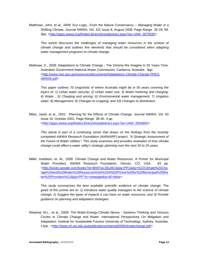Matthews, John; et al., 2009: Eco Logic...From the Nature Conservancy -- Managing Water in a Shifting Climate. Journal AWWA, Vol. 101 Issue 8, August 2009, Page Range 28-29, 99. 3pp. [<http://apps.awwa.org/WaterLibrary/showabstract.aspx?an=JAW\\_0070530>](http://apps.awwa.org/WaterLibrary/showabstract.aspx?an=JAW_0070530)

*This article discusses the challenges of managing water resources in the context of climate change and outlines five elements that should be considered when adapting water management programs to climate change.*

Mathews, K., 2008: Adaptations to Climate Change - The Victoria We Imagine In 50 Years Time. Australian Government National Water Commission, Canberra, Australia. 6pp. [<http://www.nwc.gov.au/resources/documents/Adaptations-Climate-Change-PRES-](http://www.nwc.gov.au/resources/documents/Adaptations-Climate-Change-PRES-080508.pdf)[080508.pdf>](http://www.nwc.gov.au/resources/documents/Adaptations-Climate-Change-PRES-080508.pdf)

*This paper outlines 70 snapshots of where Australia might be in 50 years covering the topics of: 1) Urban water security; 2) Urban water use; 3) Water metering and charging; 4) Water ; 5) Charging and pricing; 6) Environmental water management; 7) Irrigation water; 8) Management; 9) Changes to cropping; and 10) Changes to distribution.*

Miles, Janet; et al., 2001: Planning for the Effects of Climate Change. Journal AWWA, Vol. 93 Issue 10, October 2001, Page Range 38-40. 3 pp. [<http://apps.awwa.org/WaterLibrary/showabstract.aspx?an=JAW\\_0054850>](http://apps.awwa.org/WaterLibrary/showabstract.aspx?an=JAW_0054850)

*This article is part of a continuing series that draws on the findings from the recently completed AWWA Research Foundation (AWWARF) project, "A Strategic Assessment of the Future of Water Utilities". This study examines and provides examples of how climate change could affect a water utility's strategic planning over the next 20 to 25 years.*

Miller, Kathleen; et. Al., 2006: Climate Change and Water Resources: A Primer for Municipal Water Providers. AWWA Research Foundation, Denver, CO, USA. 83 pp. [<http://books.google.com/books?id=BhhFyiLSEuMC&lpg=PP1&dq=%22Climate%20Cha](http://books.google.com/books?id=BhhFyiLSEuMC&lpg=PP1&dq=%22Climate%20Change%20and%20Water%20Resources%3A%20A%20Primer%20for%20Municipal%20Water%20Providers%22&pg=PP7%23v=onepage&q=&f=false) [nge%20and%20Water%20Resources%3A%20A%20Primer%20for%20Municipal%20Wa](http://books.google.com/books?id=BhhFyiLSEuMC&lpg=PP1&dq=%22Climate%20Change%20and%20Water%20Resources%3A%20A%20Primer%20for%20Municipal%20Water%20Providers%22&pg=PP7%23v=onepage&q=&f=false) [ter%20Providers%22&pg=PP7#v=onepage&q=&f=false>](http://books.google.com/books?id=BhhFyiLSEuMC&lpg=PP1&dq=%22Climate%20Change%20and%20Water%20Resources%3A%20A%20Primer%20for%20Municipal%20Water%20Providers%22&pg=PP7%23v=onepage&q=&f=false)

*This study summarizes the best available scientific evidence on climate change. The goals of this primer are to: 1) Introduce water quality managers to the science of climate change; 2) Suggest the types of impacts it can have on water resources; and 3) Provide guidance on planning and adaptation strategies.*

Retamal, M.L.; et al., 2009: The Water-Energy-Climate Nexus - Systems Thinking and Virtuous Circles In Climate Change and Water: International Perspectives On Mitigation and Adaptation. Institute for Sustainable Futures University of Technology, Sydney, Australia. 11pp. [<http://www.isf.uts.edu.au/publications/retamal2009climatechange.pdf>](http://www.isf.uts.edu.au/publications/retamal2009climatechange.pdf)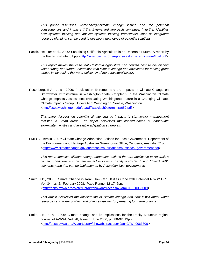*This paper discusses water-energy-climate change issues and the potential consequences and impacts if this fragmented approach continues. It further identifies how systems thinking and applied systems thinking frameworks, such as integrated resource planning, can be used to develop a new range of potential solutions.*

Pacific Institute; et al., 2009: [Sustaining California Agriculture in an Uncertain Future.](http://client-ross.com/crwuwg/Adaptation%20and%20Mitigation%20Strategies/Sustaining%20California%20Ag%20in%20an%20Uncertain%20Future/final.pdf) A report by the Pacific Institute. 81 pp.[<http://www.pacinst.org/reports/california\\_agriculture/final.pdf>](http://www.pacinst.org/reports/california_agriculture/final.pdf)

*This report makes the case that California agriculture can flourish despite diminishing water supply and future uncertainty from climate change and advocates for making great strides in increasing the water efficiency of the agricultural sector.* 

Rosenberg, E.A., et al., 2009: Precipitation Extremes and the Impacts of Climate Change on Stormwater Infrastructure in Washington State. Chapter 9 in the Washington Climate Change Impacts Assessment: Evaluating Washington's Future in a Changing Climate, Climate Impacts Group. University of Washington, Seattle, Washington. [<http://cses.washington.edu/db/pdf/wacciach9storminfra652.pdf>](http://cses.washington.edu/db/pdf/wacciach9storminfra652.pdf)

*This paper focuses on potential climate change impacts to stormwater management*  facilities in urban areas. The paper discusses the consequences of inadequate *stormwater facilities and available adaptation strategies.*

SMEC Australia, 2007: Climate Change Adaptation Actions for Local Government. Department of the Environment and Heritage Australian Greenhouse Office, Canberra, Australia. 71pp. [<http://www.climatechange.gov.au/impacts/publications/pubs/local](http://www.climatechange.gov.au/impacts/publications/pubs/local‐government.pdf)‐government.pdf>

*This report identifies climate change adaptation actions that are applicable to Australia's climatic conditions and climate impact risks as currently predicted (using CSIRO 2001 scenarios) and that can be implemented by Australian local governments.*

Smith, J.B., 2008: Climate Change is Real: How Can Utilities Cope with Potential Risks? OPF, Vol. 34 Iss. 2, February 2008, Page Range 12-17, 6pp. [<http://apps.awwa.org/WaterLibrary/showabstract.aspx?an=OPF\\_0066009>](http://apps.awwa.org/WaterLibrary/showabstract.aspx?an=OPF_0066009)

*This article discusses the acceleration of climate change and how it will affect water resources and water utilities, and offers strategies for preparing for future change.*

Smith, J.B., et al., 2006: Climate change and its implications for the Rocky Mountain region. Journal of AWWA, Vol. 98, Issue 6, June 2006, pg. 80-92. 13pp. [<http://apps.awwa.org/WaterLibrary/showabstract.aspx?an=JAW\\_0063306>](http://apps.awwa.org/WaterLibrary/showabstract.aspx?an=JAW_0063306)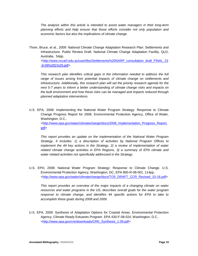*The analysis within this article is intended to assist water managers in their long-term planning efforts and help ensure that those efforts consider not only population and economic factors but also the implications of climate change.*

Thom, Bruce, et al., 2009: National Climate Change Adaptation Research Plan: Settlements and Infrastructure. Public Review Draft. National Climate Change Adaptation Facility, QLD, Australia. 54pp.

[<http://www.nccarf.edu.au/userfiles/Settlements%20NARP\\_consultation\\_draft\\_FINAL\\_23](http://www.nccarf.edu.au/userfiles/Settlements%20NARP_consultation_draft_FINAL_23-9-09%281%29.pdf) [-9-09%281%29.pdf>](http://www.nccarf.edu.au/userfiles/Settlements%20NARP_consultation_draft_FINAL_23-9-09%281%29.pdf)

*This research plan identifies critical gaps in the information needed to address the full*  range of issues arising from potential impacts of climate change on settlements and *infrastructure. Additionally, this research plan will set the priority research agenda for the next 5-7 years to inform a better understanding of climate change risks and impacts on the built environment and how these risks can be managed and impacts reduced through planned adaptation interventions.*

U.S. EPA, 2008: Implementing the National Water Program Strategy: Response to Climate Change Progress Report for 2008. Environmental Protection Agency, Office of Water, Washington, D.C.. [<http://www.epa.gov/water/climatechange/docs/2008\\_Implementation\\_Progress\\_Report.](http://www.epa.gov/water/climatechange/docs/2008_Implementation_Progress_Report.pdf) [pdf>](http://www.epa.gov/water/climatechange/docs/2008_Implementation_Progress_Report.pdf)

*This report provides an update on the implementation of the National Water Program Strategy. It includes: 1) a description of activities by National Program Offices to implement the 44 key actions in the Strategy, 2) a review of implementation of water related climate change activities in EPA Regions, 3) a summary of EPA climate and water related activities not specifically addressed in the Strategy.*

U.S. EPA; 2008: National Water Program Strategy: Response to Climate Change. U.S. Environmental Protection Agency, Washington, DC, EPA 800-R-08-001. 114pp. [<http://www.epa.gov/water/climatechange/docs/TO5\\_DRAFT\\_CCR\\_Revised\\_10-16.pdf>](http://www.epa.gov/water/climatechange/docs/TO5_DRAFT_CCR_Revised_10-16.pdf)

*This report provides an overview of the major impacts of a changing climate on water resources and water programs in the US, describes overall goals for the water program response to climate change, and identifies 44 specific actions for EPA to take to accomplish these goals during 2008 and 2009.*

U.S. EPA, 2009: Synthesis of Adaptation Options for Coastal Areas. Environmental Protection Agency, Climate Ready Estuaries Program. EPA 430-F-08-024, Washington, D.C.. [<http://www.epa.gov/cre/downloads/CRE\\_Synthesis\\_1.09.pdf>](http://www.epa.gov/cre/downloads/CRE_Synthesis_1.09.pdf)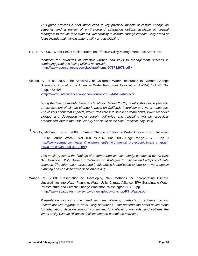*This guide provides a brief introduction to key physical impacts of climate change on estuaries and a review of on-the-ground adaptation options available to coastal managers to reduce their systems' vulnerability to climate change impacts. Key areas of focus include maintaining water quality and availability.*

U.S. EPA, 2007: [Water Sector Collaboration on Effective Utility Management Fact Sheet.](http://client-ross.com/crwuwg/Adaptation%20and%20Mitigation%20Strategies/Water%20Sector%20Collaboration%20on%20Effective%20Utility%20Management%20-%20Fact%20Sheet/fs_si_waterutility_collaborationeffectivemanagement.pdf) 4pp

*Identifies ten attributes of effective utilities and keys to management success in combating problems facing utilities nationwide.*  [<http://www.peercenter.net/ewebeditpro/items/O73F12973.pdf>](http://www.peercenter.net/ewebeditpro/items/O73F12973.pdf)

Vicuna, S., et al., 2007: The Sensitivity of California Water Resources to Climate Change Scenarios. Journal of the American Water Resources Association (AWRA). Vol. 43, No. 2. pp. 482-498.

[<http://www3.interscience.wiley.com/journal/118544643/abstract>](http://www3.interscience.wiley.com/journal/118544643/abstract)

*Using the latest available General Circulation Model (GCM) results, this article presents an assessment of climate change impacts on California hydrology and water resources. The results show that impacts, which translate into smaller stream flows, lower reservoir storage and decreased water supply deliveries and reliability, will be especially pronounced later in the 21st Century and south of the San Francisco bay Delta.*

Wallis. Michael J. et al., 2008: Climate Change: Charting a Water Course in an Uncertain Future. Journal AWWA, Vol. 100 Issue 6, June 2008, Page Range 70-79. 10pp. [<](http://www.ebmud.com/water_&_environment/environmental_protection/climate_change/awwa_article/Journal-06-08.pdf) [http://www.ebmud.com/water\\_&\\_environment/environmental\\_protection/climate\\_change/](http://www.ebmud.com/water_&_environment/environmental_protection/climate_change/awwa_article/Journal-06-08.pdf) [awwa\\_article/Journal-06-08.pdf>](http://www.ebmud.com/water_&_environment/environmental_protection/climate_change/awwa_article/Journal-06-08.pdf)

*This article presents the findings of a comprehensive case study, conducted by the East Bay Municipal Utility District in California on strategies to mitigate and adapt to climate changes. The information presented in this article is applicable to long-term water supply planning and can assist with decision-making.*

Waage, M., 2008: Presentation on Developing New Methods for Incorporating Climatic Uncertainties into Water Planning. Water Utility Climate Alliance. EPA Sustainable Water Infrastructure and Climate Change Workshop, Washington D.C.. 9pp. [<http://www.epa.gov/nrmrl/wswrd/wqm/wrap/pdf/workshop/P3\\_Waage.pdf>](http://www.epa.gov/nrmrl/wswrd/wqm/wrap/pdf/workshop/P3_Waage.pdf)

*Presentation highlights the need for new planning methods to address climatic uncertainty with regards to water utility operations. The presentation offers seven steps*  for adaptation, decision support committee, four planning methods, and outlines the *Water Utility Climate Alliances decision support committee activities.*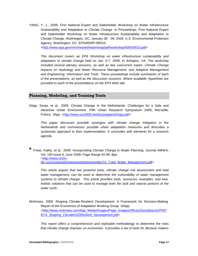YANG, Y. J., 2009: First National Expert and Stakeholder Workshop on Water Infrastructure Sustainability and Adaptation to Climate Change. In Proceedings, First National Expert and Stakeholder Workshop on Water Infrastructure Sustainability and Adaptation to Climate Change, Washington, DC, January 06 - 09, 2009. U.S. Environmental Protection Agency, Washington, DC, EPA/600/R-09/010.

[<http://www.epa.gov/nrmrl/wswrd/wqm/wrap/pdf/workshop/600r09010.pdf>](http://www.epa.gov/nrmrl/wswrd/wqm/wrap/pdf/workshop/600r09010.pdf)

*This document covers an EPA Workshop on water infrastructure sustainability and adaptation to climate change held on Jan. 6-7, 2009, in Arlington, VA. The workshop included several plenary sessions, as well as two concurrent tracks: Climate Change Impacts on Hydrology and Water Resource Management; and Adaptive Management and Engineering: Information and Tools. These proceedings include summaries of each of the presentations, as well as the discussion sessions. Where available, hyperlinks are provided to each of the presentations on the EPA Web site.*

#### **Planning, Modeling, and Training Tools**

Döpp, Sonja, et al., 2009: Climate Change In the Netherlands: Challenges for a Safe and Attractive Urban Environment. Fifth Urban Research Symposium 2009, Marseille, France. 16pp. [<http://www.urs2009.net/docs/papers/Dopp.pdf>](http://www.urs2009.net/docs/papers/Dopp.pdf)

*This paper discusses possible synergies with climate change mitigation in the Netherlands and summarizes possible urban adaptation measures and describes a systematic approach to their implementation. It concludes with elements for a research agenda.*

**\*** Freas, Kathy, et al., 2008: Incorporating Climate Change in Water Planning. Journal AWWA, Vol. 100 Issue 6, June 2008, Page Range 92-99. 8pp. [<http://www.ch2m](http://www.ch2m-idc.com/corporate/siww/assets/press/water/13_Total_Water_Management.pdf)[idc.com/corporate/siww/assets/press/water/13\\_Total\\_Water\\_Management.pdf>](http://www.ch2m-idc.com/corporate/siww/assets/press/water/13_Total_Water_Management.pdf)

*This article argues that two powerful tools, climate change risk assessment and total water management, can be used to determine the vulnerability of water management systems to climate change. This article provides tools, resources, examples, and new, holistic solutions that can be used to manage both the built and natural portions of the water cycle.*

McKinsey, 2009: Shaping Climate-Resilient Development. A Framework for Decision-Making. Report of the Economics of Adaptation Working Group. 164pp. [<http://www.mckinsey.com/App\\_Media/Images/Page\\_Images/Offices/SocialSector/PDF/](http://www.mckinsey.com/App_Media/Images/Page_Images/Offices/SocialSector/PDF/ECA_Shaping_Climate%20Resilent_Development.pdf) [ECA\\_Shaping\\_Climate%20Resilent\\_Development.pdf>](http://www.mckinsey.com/App_Media/Images/Page_Images/Offices/SocialSector/PDF/ECA_Shaping_Climate%20Resilent_Development.pdf)

*This report offers a comprehensive and replicable methodology to determine the risks that climate change imposes on economies. It provides a set of tools for decision makers*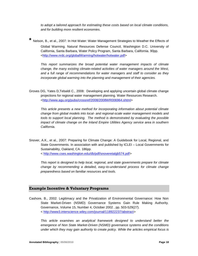*to adopt a tailored approach for estimating these costs based on local climate conditions, and for building more resilient economies.*

**\*** Nelson, B., et al., 2007: In Hot Water: Water Management Strategies to Weather the Effects of

Global Warming. Natural Resources Defense Council, Washington D.C. University of California, Santa Barbara, Water Policy Program, Santa Barbara, California. 90pp. [<http://www.nrdc.org/globalWarming/hotwater/hotwater.pdf>](http://www.nrdc.org/globalWarming/hotwater/hotwater.pdf)

*This report summarizes the broad potential water management impacts of climate change, the many existing climate-related activities of water managers around the West, and a full range of recommendations for water managers and staff to consider as they incorporate global warming into the planning and management of their agencies.*

Groves DG, Yates D,Tebaldi C., 2008: Developing and applying uncertain global climate change projections for regional water management planning. Water Resources Research. [<http://www.agu.org/pubs/crossref/2008/2008WR006964.shtml>](http://www.agu.org/pubs/crossref/2008/2008WR006964.shtml)

*This article presents a new method for incorporating information about potential climate change from global models into local- and regional-scale water management models and tools to support local planning. The method is demonstrated by evaluating the possible impact of climate change on the Inland Empire Utilities Agency service area in southern California.*

Snover, A.K., et al., 2007: Preparing for Climate Change: A Guidebook for Local, Regional, and State Governments. In association with and published by ICLEI – Local Governments for Sustainability, Oakland, CA. 186pp. < [http://www.cses.washington.edu/db/pdf/snoveretalgb574.pdf>](http://www.cses.washington.edu/db/pdf/snoveretalgb574.pdf)

*This report is designed to help local, regional, and state governments prepare for climate change by recommending a detailed, easy-to-understand process for climate change preparedness based on familiar resources and tools.*

#### **Example Incentive & Voluntary Programs**

Cashore, B., 2002: Legitimacy and the Privatization of Environmental Governance: How Non State Market-Driven (NSMD) Governance Systems Gain Rule Making Authority. [Governance,](http://www.ingentaconnect.com/content/bpl/gove) Volume 15, Number 4, October 2002 , pp. 503-529(27). < [http://www3.interscience.wiley.com/journal/118922237/abstract>](http://www3.interscience.wiley.com/journal/118922237/abstract)

*This article examines an analytical framework designed to understand better the emergence of Non State Market-Driven (NSMD) governance systems and the conditions under which they may gain authority to create policy. While the articles empirical focus is*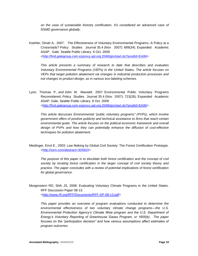*on the case of sustainable forestry certification, it's considered an advanced case of NSMD governance globally.*

Koehler, Dinah A., 2007: The Effectiveness of Voluntary Environmental Programs--A Policy at a Crossroads? Policy Studies Journal 35.4 (Nov 2007): 689(34). Expanded Academic ASAP. Gale. Seattle Public Library. 6 Oct. 2009 [<http://find.galegroup.com.ezproxy.spl.org:2048/gtx/start.do?prodId=EAIM>](http://find.galegroup.com.ezproxy.spl.org:2048/gtx/start.do?prodId=EAIM)

*This article presents a summary of research to date that describes and evaluates Voluntary Environmental Programs (VEPs) in the United States. The article focuses on VEPs that target pollution abatement via changes in industrial production processes and not changes to product design, as in various eco-labeling schemes.*

Lyon, Thomas P., and John W. Maxwell, 2007: Environmental Public Voluntary Programs Reconsidered. Policy Studies Journal 35.4 (Nov 2007): 723(28). Expanded Academic ASAP. Gale. Seattle Public Library. 6 Oct. 2009 [<http://find.galegroup.com.ezproxy.spl.org:2048/gtx/start.do?prodId=EAIM>](http://find.galegroup.com.ezproxy.spl.org:2048/gtx/start.do?prodId=EAIM).

*This article discusses Environmental "public voluntary programs" (PVPs), which involve government offers of positive publicity and technical assistance to firms that reach certain environmental goals. The article focuses on the political-economic framework and overall design of PVPs and how they can potentially enhance the diffusion of cost-effective techniques for pollution abatement.* 

Meidinger, Errol E., 2003: Law Making by Global Civil Society: The Forest Certification Prototype. [<http://ssrn.com/abstract=304924>](http://ssrn.com/abstract=304924)

The purpose of this paper is to elucidate both forest certification and the concept of civil *society by locating forest certification in the larger concept of civil society theory and practice. The paper concludes with a review of potential implications of forest certification for global governance.*

Morgenstern RD, Shih JS, 2008: Evaluating Voluntary Climate Programs in the United States. RFF Discussion Paper 08-13. [<http://www.rff.org/RFF/Documents/RFF-DP-08-13.pdf>](http://www.rff.org/RFF/Documents/RFF-DP-08-13.pdf)

*This paper provides an overview of program evaluations conducted to determine the environmental effectiveness of two voluntary climate change programs—the U.S. Environmental Protection Agency's Climate Wise program and the U.S. Department of Energy's Voluntary Reporting of Greenhouse Gases Program, or 1605(b). The paper focuses on the "participation decision" and how various assumptions affect estimates of program outcomes.*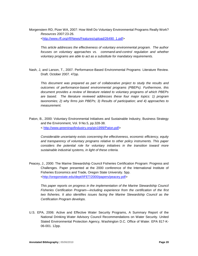Morgenstern RD, Pizer WA, 2007: How Well Do Voluntary Environmental Programs Really Work? *Resources* 2007:23-26. [<http://www.rff.org/rff/News/Features/upload/26490\\_1.pdf>](http://www.rff.org/rff/News/Features/upload/26490_1.pdf)

*This article addresses the effectiveness of voluntary environmental program. The author focuses on voluntary approaches vs. command-and-control regulation and whether voluntary programs are able to act as a substitute for mandatory requirements.*

Nash, J, and Larson, T., 2007. Performance-Based Environmental Programs: Literature Review. Draft. October 2007. 47pp.

*This document was prepared as part of collaborative project to study the results and outcomes of performance-based environmental programs (PBEPs). Furthermore, this document provides a review of literature related to voluntary programs of which PBEPs are based. The literature reviewed addresses these four major topics: 1) program taxonomies; 2) why firms join PBEPs; 3) Results of participation; and 4) approaches to measurement.*

Paton, B., 2000: Voluntary Environmental Initiatives and Sustainable Industry, Business Strategy and the Environment, Vol. 9 No.5, pp.328-38. < [http://www.greeningofindustry.org/gin1999/Paton.pdf>](http://www.greeningofindustry.org/gin1999/Paton.pdf)

*Considerable uncertainty exists concerning the effectiveness, economic efficiency, equity and transparency of voluntary programs relative to other policy instruments. This paper considers the potential role for voluntary initiatives in the transition toward more sustainable industrial systems, in light of these criteria.* 

Peacey, J., 2000: The Marine Stewardship Council Fisheries Certification Program: Progress and Challenges. Paper presented at the 2000 conference of the International Institute of Fisheries Economics and Trade, Oregon State University. 5pp. [<http://oregonstate.edu/dept/IIFET/2000/papers/peacey.pdf>](http://oregonstate.edu/dept/IIFET/2000/papers/peacey.pdf)

*This paper reports on progress in the implementation of the Marine Stewardship Council Fisheries Certification Program—including experience from the certification of the first two fisheries. It also identifies issues facing the Marine Stewardship Council as the Certification Program develops.*

U.S. EPA, 2006: Active and Effective Water Security Programs, A Summary Report of the National Drinking Water Advisory Council Recommendations on Water Security. United Stated Environmental Protection Agency, Washington D.C. Office of Water. EPA 817-K-06-001. 12pp.